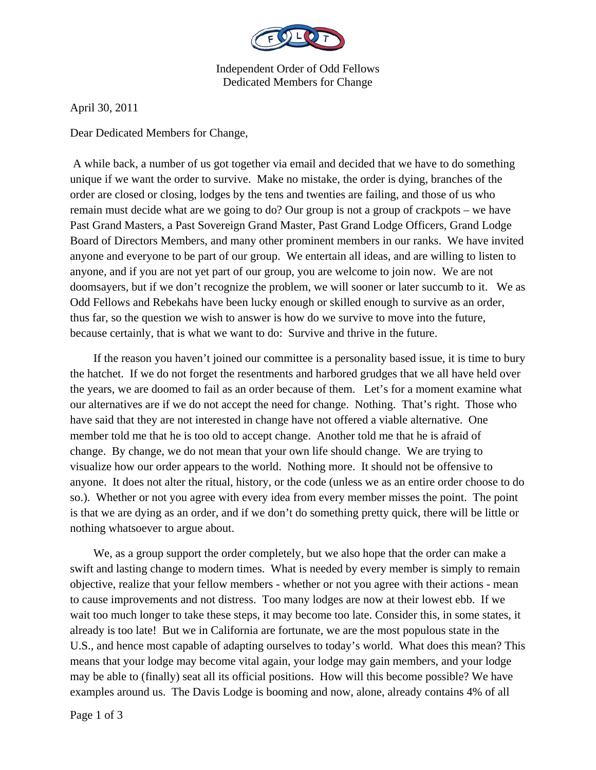

Independent Order of Odd Fellows Dedicated Members for Change

April 30, 2011

Dear Dedicated Members for Change,

 A while back, a number of us got together via email and decided that we have to do something unique if we want the order to survive. Make no mistake, the order is dying, branches of the order are closed or closing, lodges by the tens and twenties are failing, and those of us who remain must decide what are we going to do? Our group is not a group of crackpots – we have Past Grand Masters, a Past Sovereign Grand Master, Past Grand Lodge Officers, Grand Lodge Board of Directors Members, and many other prominent members in our ranks. We have invited anyone and everyone to be part of our group. We entertain all ideas, and are willing to listen to anyone, and if you are not yet part of our group, you are welcome to join now. We are not doomsayers, but if we don't recognize the problem, we will sooner or later succumb to it. We as Odd Fellows and Rebekahs have been lucky enough or skilled enough to survive as an order, thus far, so the question we wish to answer is how do we survive to move into the future, because certainly, that is what we want to do: Survive and thrive in the future.

 If the reason you haven't joined our committee is a personality based issue, it is time to bury the hatchet. If we do not forget the resentments and harbored grudges that we all have held over the years, we are doomed to fail as an order because of them. Let's for a moment examine what our alternatives are if we do not accept the need for change. Nothing. That's right. Those who have said that they are not interested in change have not offered a viable alternative. One member told me that he is too old to accept change. Another told me that he is afraid of change. By change, we do not mean that your own life should change. We are trying to visualize how our order appears to the world. Nothing more. It should not be offensive to anyone. It does not alter the ritual, history, or the code (unless we as an entire order choose to do so.). Whether or not you agree with every idea from every member misses the point. The point is that we are dying as an order, and if we don't do something pretty quick, there will be little or nothing whatsoever to argue about.

 We, as a group support the order completely, but we also hope that the order can make a swift and lasting change to modern times. What is needed by every member is simply to remain objective, realize that your fellow members - whether or not you agree with their actions - mean to cause improvements and not distress. Too many lodges are now at their lowest ebb. If we wait too much longer to take these steps, it may become too late. Consider this, in some states, it already is too late! But we in California are fortunate, we are the most populous state in the U.S., and hence most capable of adapting ourselves to today's world. What does this mean? This means that your lodge may become vital again, your lodge may gain members, and your lodge may be able to (finally) seat all its official positions. How will this become possible? We have examples around us. The Davis Lodge is booming and now, alone, already contains 4% of all

Page 1 of 3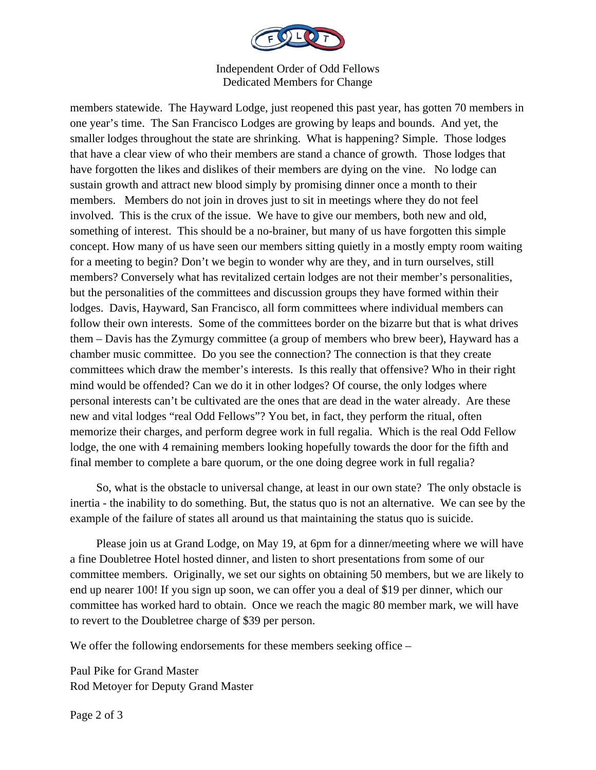

Independent Order of Odd Fellows Dedicated Members for Change

members statewide. The Hayward Lodge, just reopened this past year, has gotten 70 members in one year's time. The San Francisco Lodges are growing by leaps and bounds. And yet, the smaller lodges throughout the state are shrinking. What is happening? Simple. Those lodges that have a clear view of who their members are stand a chance of growth. Those lodges that have forgotten the likes and dislikes of their members are dying on the vine. No lodge can sustain growth and attract new blood simply by promising dinner once a month to their members. Members do not join in droves just to sit in meetings where they do not feel involved. This is the crux of the issue. We have to give our members, both new and old, something of interest. This should be a no-brainer, but many of us have forgotten this simple concept. How many of us have seen our members sitting quietly in a mostly empty room waiting for a meeting to begin? Don't we begin to wonder why are they, and in turn ourselves, still members? Conversely what has revitalized certain lodges are not their member's personalities, but the personalities of the committees and discussion groups they have formed within their lodges. Davis, Hayward, San Francisco, all form committees where individual members can follow their own interests. Some of the committees border on the bizarre but that is what drives them – Davis has the Zymurgy committee (a group of members who brew beer), Hayward has a chamber music committee. Do you see the connection? The connection is that they create committees which draw the member's interests. Is this really that offensive? Who in their right mind would be offended? Can we do it in other lodges? Of course, the only lodges where personal interests can't be cultivated are the ones that are dead in the water already. Are these new and vital lodges "real Odd Fellows"? You bet, in fact, they perform the ritual, often memorize their charges, and perform degree work in full regalia. Which is the real Odd Fellow lodge, the one with 4 remaining members looking hopefully towards the door for the fifth and final member to complete a bare quorum, or the one doing degree work in full regalia?

 So, what is the obstacle to universal change, at least in our own state? The only obstacle is inertia - the inability to do something. But, the status quo is not an alternative. We can see by the example of the failure of states all around us that maintaining the status quo is suicide.

 Please join us at Grand Lodge, on May 19, at 6pm for a dinner/meeting where we will have a fine Doubletree Hotel hosted dinner, and listen to short presentations from some of our committee members. Originally, we set our sights on obtaining 50 members, but we are likely to end up nearer 100! If you sign up soon, we can offer you a deal of \$19 per dinner, which our committee has worked hard to obtain. Once we reach the magic 80 member mark, we will have to revert to the Doubletree charge of \$39 per person.

We offer the following endorsements for these members seeking office –

Paul Pike for Grand Master Rod Metoyer for Deputy Grand Master

Page 2 of 3